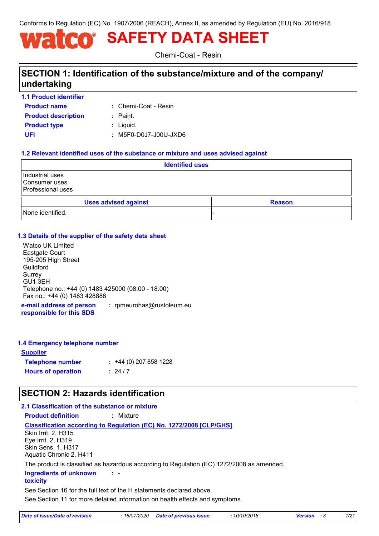Conforms to Regulation (EC) No. 1907/2006 (REACH), Annex II, as amended by Regulation (EU) No. 2016/918

# **SAFETY DATA SHEET**

Chemi-Coat - Resin

### **SECTION 1: Identification of the substance/mixture and of the company/ undertaking**

**1.1 Product identifier**

**Product name**

Chemi-Coat - Resin **:**

| <b>Product description</b> | : Paint.              |
|----------------------------|-----------------------|
| <b>Product type</b>        | : Liquid.             |
| UFI                        | : M5F0-D0J7-J00U-JXD6 |

### **1.2 Relevant identified uses of the substance or mixture and uses advised against**

|                                                       |                             | <b>Identified uses</b> |               |  |
|-------------------------------------------------------|-----------------------------|------------------------|---------------|--|
| Industrial uses<br>Consumer uses<br>Professional uses |                             |                        |               |  |
|                                                       | <b>Uses advised against</b> |                        | <b>Reason</b> |  |
| None identified.                                      |                             |                        |               |  |

### **1.3 Details of the supplier of the safety data sheet**

Watco UK Limited Eastgate Court 195-205 High Street Guildford Surrey GU1 3EH Telephone no.: +44 (0) 1483 425000 (08:00 - 18:00) Fax no.: +44 (0) 1483 428888

**e-mail address of person responsible for this SDS :** rpmeurohas@rustoleum.eu

### **1.4 Emergency telephone number**

| <u>Supplier</u>           |                             |
|---------------------------|-----------------------------|
| <b>Telephone number</b>   | $\div$ +44 (0) 207 858 1228 |
| <b>Hours of operation</b> | : 24/7                      |

### **SECTION 2: Hazards identification**

### **2.1 Classification of the substance or mixture**

**Product definition :** Mixture

#### **Classification according to Regulation (EC) No. 1272/2008 [CLP/GHS]**

Skin Irrit. 2, H315 Eye Irrit. 2, H319 Skin Sens. 1, H317 Aquatic Chronic 2, H411

The product is classified as hazardous according to Regulation (EC) 1272/2008 as amended.

- **: Ingredients of unknown** 

#### **toxicity**

See Section 16 for the full text of the H statements declared above.

See Section 11 for more detailed information on health effects and symptoms.

| Date of issue/Date of revision | : 16/07/2020 Date of previous issue | 10/10/2018 | <b>Version</b> : 3 | 1/21 |
|--------------------------------|-------------------------------------|------------|--------------------|------|
|--------------------------------|-------------------------------------|------------|--------------------|------|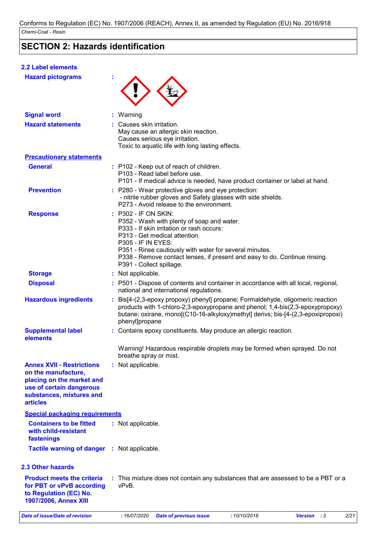### **SECTION 2: Hazards identification**

### **2.2 Label elements**

| <b>Hazard pictograms</b>                                                                                                                                        |                                                                                                                                                                                                                                                                                                                                                    |  |
|-----------------------------------------------------------------------------------------------------------------------------------------------------------------|----------------------------------------------------------------------------------------------------------------------------------------------------------------------------------------------------------------------------------------------------------------------------------------------------------------------------------------------------|--|
| <b>Signal word</b>                                                                                                                                              | : Warning                                                                                                                                                                                                                                                                                                                                          |  |
| <b>Hazard statements</b>                                                                                                                                        | : Causes skin irritation.<br>May cause an allergic skin reaction.<br>Causes serious eye irritation.<br>Toxic to aquatic life with long lasting effects.                                                                                                                                                                                            |  |
| <b>Precautionary statements</b>                                                                                                                                 |                                                                                                                                                                                                                                                                                                                                                    |  |
| <b>General</b>                                                                                                                                                  | : P102 - Keep out of reach of children.<br>P103 - Read label before use.<br>P101 - If medical advice is needed, have product container or label at hand.                                                                                                                                                                                           |  |
| <b>Prevention</b>                                                                                                                                               | : P280 - Wear protective gloves and eye protection:<br>- nitrile rubber gloves and Safety glasses with side shields.<br>P273 - Avoid release to the environment.                                                                                                                                                                                   |  |
| <b>Response</b>                                                                                                                                                 | : P302 - IF ON SKIN:<br>P352 - Wash with plenty of soap and water.<br>P333 - If skin irritation or rash occurs:<br>P313 - Get medical attention.<br><b>P305 - IF IN EYES:</b><br>P351 - Rinse cautiously with water for several minutes.<br>P338 - Remove contact lenses, if present and easy to do. Continue rinsing.<br>P391 - Collect spillage. |  |
| <b>Storage</b>                                                                                                                                                  | : Not applicable.                                                                                                                                                                                                                                                                                                                                  |  |
| <b>Disposal</b>                                                                                                                                                 | : P501 - Dispose of contents and container in accordance with all local, regional,<br>national and international regulations.                                                                                                                                                                                                                      |  |
| <b>Hazardous ingredients</b>                                                                                                                                    | : Bis[4-(2,3-epoxy propoxy) phenyl] propane; Formaldehyde, oligomeric reaction<br>products with 1-chloro-2,3-epoxypropane and phenol; 1,4-bis(2,3-epoxypropoxy)<br>butane; oxirane, mono[(C10-16-alkyloxy)methyl] derivs; bis-[4-(2,3-epoxipropoxi)<br>phenyl]propane                                                                              |  |
| <b>Supplemental label</b><br>elements                                                                                                                           | : Contains epoxy constituents. May produce an allergic reaction.                                                                                                                                                                                                                                                                                   |  |
|                                                                                                                                                                 | Warning! Hazardous respirable droplets may be formed when sprayed. Do not<br>breathe spray or mist.                                                                                                                                                                                                                                                |  |
| <b>Annex XVII - Restrictions</b><br>on the manufacture,<br>placing on the market and<br>use of certain dangerous<br>substances, mixtures and<br><b>articles</b> | : Not applicable.                                                                                                                                                                                                                                                                                                                                  |  |
| <b>Special packaging requirements</b>                                                                                                                           |                                                                                                                                                                                                                                                                                                                                                    |  |
| <b>Containers to be fitted</b><br>with child-resistant<br>fastenings                                                                                            | : Not applicable.                                                                                                                                                                                                                                                                                                                                  |  |
| <b>Tactile warning of danger</b>                                                                                                                                | : Not applicable.                                                                                                                                                                                                                                                                                                                                  |  |
| <b>2.3 Other hazards</b>                                                                                                                                        |                                                                                                                                                                                                                                                                                                                                                    |  |
| <b>Product meets the criteria</b><br>for PBT or vPvB according<br>to Regulation (EC) No.<br>1907/2006, Annex XIII                                               | : This mixture does not contain any substances that are assessed to be a PBT or a<br>vPvB.                                                                                                                                                                                                                                                         |  |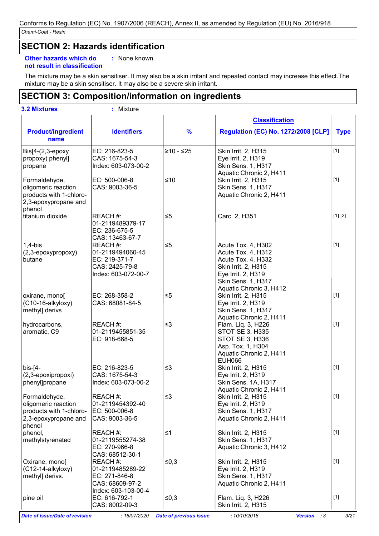### **SECTION 2: Hazards identification**

**Other hazards which do :** : None known.

```
not result in classification
```
The mixture may be a skin sensitiser. It may also be a skin irritant and repeated contact may increase this effect.The mixture may be a skin sensitiser. It may also be a severe skin irritant.

### **SECTION 3: Composition/information on ingredients**

|                                                |                              |                               | <b>Classification</b>                         |             |
|------------------------------------------------|------------------------------|-------------------------------|-----------------------------------------------|-------------|
| <b>Product/ingredient</b><br>name              | <b>Identifiers</b>           | $\frac{9}{6}$                 | <b>Regulation (EC) No. 1272/2008 [CLP]</b>    | <b>Type</b> |
| Bis[4-(2,3-epoxy                               | EC: 216-823-5                | $≥10 - ≤25$                   | Skin Irrit. 2, H315                           | $[1]$       |
| propoxy) phenyl]                               | CAS: 1675-54-3               |                               | Eye Irrit. 2, H319                            |             |
| propane                                        | Index: 603-073-00-2          |                               | Skin Sens. 1, H317                            |             |
|                                                |                              |                               | Aquatic Chronic 2, H411                       |             |
| Formaldehyde,                                  | EC: 500-006-8                | $≤10$                         | Skin Irrit. 2, H315                           | $[1]$       |
| oligomeric reaction<br>products with 1-chloro- | CAS: 9003-36-5               |                               | Skin Sens. 1, H317<br>Aquatic Chronic 2, H411 |             |
| 2,3-epoxypropane and                           |                              |                               |                                               |             |
| phenol                                         |                              |                               |                                               |             |
| titanium dioxide                               | REACH #:                     | $\leq 5$                      | Carc. 2, H351                                 | [1] [2]     |
|                                                | 01-2119489379-17             |                               |                                               |             |
|                                                | EC: 236-675-5                |                               |                                               |             |
|                                                | CAS: 13463-67-7              |                               |                                               |             |
| $1,4-b$ is                                     | REACH#:                      | $\leq 5$                      | Acute Tox. 4, H302                            | $[1]$       |
| (2,3-epoxypropoxy)                             | 01-2119494060-45             |                               | Acute Tox. 4, H312                            |             |
| butane                                         | EC: 219-371-7                |                               | Acute Tox. 4, H332                            |             |
|                                                | CAS: 2425-79-8               |                               | Skin Irrit. 2, H315                           |             |
|                                                | Index: 603-072-00-7          |                               | Eye Irrit. 2, H319                            |             |
|                                                |                              |                               | Skin Sens. 1, H317                            |             |
|                                                |                              |                               | Aquatic Chronic 3, H412                       |             |
| oxirane, mono                                  | EC: 268-358-2                | $\leq 5$                      | Skin Irrit. 2, H315                           | $[1]$       |
| (C10-16-alkyloxy)                              | CAS: 68081-84-5              |                               | Eye Irrit. 2, H319                            |             |
| methyl] derivs                                 |                              |                               | Skin Sens. 1, H317                            |             |
| hydrocarbons,                                  | REACH #:                     | $\leq$ 3                      | Aquatic Chronic 2, H411<br>Flam. Liq. 3, H226 | $[1]$       |
| aromatic, C9                                   | 01-2119455851-35             |                               | <b>STOT SE 3, H335</b>                        |             |
|                                                | EC: 918-668-5                |                               | STOT SE 3, H336                               |             |
|                                                |                              |                               | Asp. Tox. 1, H304                             |             |
|                                                |                              |                               | Aquatic Chronic 2, H411                       |             |
|                                                |                              |                               | <b>EUH066</b>                                 |             |
| $bis$ - $[4-$                                  | EC: 216-823-5                | $\leq$ 3                      | Skin Irrit. 2, H315                           | $[1]$       |
| (2,3-epoxipropoxi)                             | CAS: 1675-54-3               |                               | Eye Irrit. 2, H319                            |             |
| phenyl]propane                                 | Index: 603-073-00-2          |                               | Skin Sens. 1A, H317                           |             |
|                                                |                              |                               | Aquatic Chronic 2, H411                       |             |
| Formaldehyde,                                  | REACH #:                     | $\leq$ 3                      | Skin Irrit. 2, H315                           | $[1]$       |
| oligomeric reaction                            | 01-2119454392-40             |                               | Eye Irrit. 2, H319                            |             |
| products with 1-chloro-                        | EC: 500-006-8                |                               | Skin Sens. 1, H317                            |             |
| 2,3-epoxypropane and                           | CAS: 9003-36-5               |                               | Aquatic Chronic 2, H411                       |             |
| phenol                                         |                              |                               |                                               | $[1]$       |
| phenol,<br>methylstyrenated                    | REACH #:<br>01-2119555274-38 | $\leq 1$                      | Skin Irrit. 2, H315<br>Skin Sens. 1, H317     |             |
|                                                | EC: 270-966-8                |                               | Aquatic Chronic 3, H412                       |             |
|                                                | CAS: 68512-30-1              |                               |                                               |             |
| Oxirane, mono[                                 | REACH #:                     | $≤0,3$                        | Skin Irrit. 2, H315                           | $[1]$       |
| (C12-14-alkyloxy)                              | 01-2119485289-22             |                               | Eye Irrit. 2, H319                            |             |
| methyl] derivs.                                | EC: 271-846-8                |                               | Skin Sens. 1, H317                            |             |
|                                                | CAS: 68609-97-2              |                               | Aquatic Chronic 2, H411                       |             |
|                                                | Index: 603-103-00-4          |                               |                                               |             |
| pine oil                                       | EC: 616-792-1                | ≤0,3                          | Flam. Liq. 3, H226                            | $[1]$       |
|                                                | CAS: 8002-09-3               |                               | Skin Irrit. 2, H315                           |             |
| <b>Date of issue/Date of revision</b>          | : 16/07/2020                 | <b>Date of previous issue</b> | : 10/10/2018<br><b>Version</b><br>$\cdot$ : 3 | 3/21        |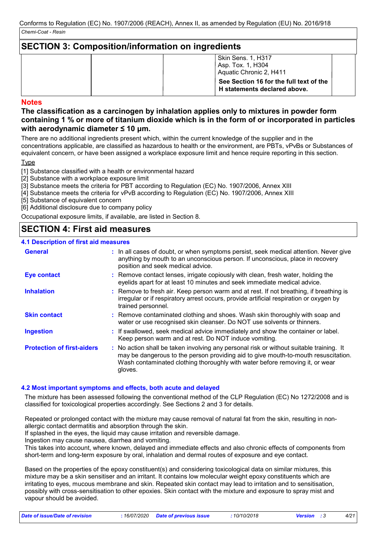### **SECTION 3: Composition/information on ingredients**

| Skin Sens. 1, H317<br>Asp. Tox. 1, H304<br>Aquatic Chronic 2, H411      |
|-------------------------------------------------------------------------|
| See Section 16 for the full text of the<br>H statements declared above. |

### **Notes**

### **The classification as a carcinogen by inhalation applies only to mixtures in powder form containing 1 % or more of titanium dioxide which is in the form of or incorporated in particles with aerodynamic diameter ≤ 10 μm.**

There are no additional ingredients present which, within the current knowledge of the supplier and in the concentrations applicable, are classified as hazardous to health or the environment, are PBTs, vPvBs or Substances of equivalent concern, or have been assigned a workplace exposure limit and hence require reporting in this section.

**Type** 

[1] Substance classified with a health or environmental hazard

[2] Substance with a workplace exposure limit

[3] Substance meets the criteria for PBT according to Regulation (EC) No. 1907/2006, Annex XIII

[4] Substance meets the criteria for vPvB according to Regulation (EC) No. 1907/2006, Annex XIII

[5] Substance of equivalent concern

[6] Additional disclosure due to company policy

Occupational exposure limits, if available, are listed in Section 8.

### **SECTION 4: First aid measures**

### **4.1 Description of first aid measures**

| <b>General</b>                    | : In all cases of doubt, or when symptoms persist, seek medical attention. Never give<br>anything by mouth to an unconscious person. If unconscious, place in recovery<br>position and seek medical advice.                                                              |
|-----------------------------------|--------------------------------------------------------------------------------------------------------------------------------------------------------------------------------------------------------------------------------------------------------------------------|
| Eye contact                       | : Remove contact lenses, irrigate copiously with clean, fresh water, holding the<br>eyelids apart for at least 10 minutes and seek immediate medical advice.                                                                                                             |
| <b>Inhalation</b>                 | : Remove to fresh air. Keep person warm and at rest. If not breathing, if breathing is<br>irregular or if respiratory arrest occurs, provide artificial respiration or oxygen by<br>trained personnel.                                                                   |
| <b>Skin contact</b>               | : Remove contaminated clothing and shoes. Wash skin thoroughly with soap and<br>water or use recognised skin cleanser. Do NOT use solvents or thinners.                                                                                                                  |
| <b>Ingestion</b>                  | : If swallowed, seek medical advice immediately and show the container or label.<br>Keep person warm and at rest. Do NOT induce vomiting.                                                                                                                                |
| <b>Protection of first-aiders</b> | : No action shall be taken involving any personal risk or without suitable training. It<br>may be dangerous to the person providing aid to give mouth-to-mouth resuscitation.<br>Wash contaminated clothing thoroughly with water before removing it, or wear<br>gloves. |

### **4.2 Most important symptoms and effects, both acute and delayed**

The mixture has been assessed following the conventional method of the CLP Regulation (EC) No 1272/2008 and is classified for toxicological properties accordingly. See Sections 2 and 3 for details.

Repeated or prolonged contact with the mixture may cause removal of natural fat from the skin, resulting in nonallergic contact dermatitis and absorption through the skin.

If splashed in the eyes, the liquid may cause irritation and reversible damage.

Ingestion may cause nausea, diarrhea and vomiting.

This takes into account, where known, delayed and immediate effects and also chronic effects of components from short-term and long-term exposure by oral, inhalation and dermal routes of exposure and eye contact.

Based on the properties of the epoxy constituent(s) and considering toxicological data on similar mixtures, this mixture may be a skin sensitiser and an irritant. It contains low molecular weight epoxy constituents which are irritating to eyes, mucous membrane and skin. Repeated skin contact may lead to irritation and to sensitisation, possibly with cross-sensitisation to other epoxies. Skin contact with the mixture and exposure to spray mist and vapour should be avoided.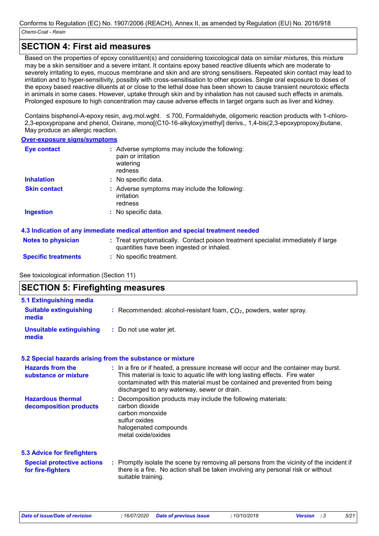### **SECTION 4: First aid measures**

Based on the properties of epoxy constituent(s) and considering toxicological data on similar mixtures, this mixture may be a skin sensitiser and a severe irritant. It contains epoxy based reactive diluents which are moderate to severely irritating to eyes, mucous membrane and skin and are strong sensitisers. Repeated skin contact may lead to irritation and to hyper-sensitivity, possibly with cross-sensitisation to other epoxies. Single oral exposure to doses of the epoxy based reactive diluents at or close to the lethal dose has been shown to cause transient neurotoxic effects in animals in some cases. However, uptake through skin and by inhalation has not caused such effects in animals. Prolonged exposure to high concentration may cause adverse effects in target organs such as liver and kidney.

Contains bisphenol-A-epoxy resin, avg.mol.wght. ≤ 700, Formaldehyde, oligomeric reaction products with 1-chloro-2,3-epoxypropane and phenol, Oxirane, mono[(C10-16-alkyloxy)methyl] derivs., 1,4-bis(2,3-epoxypropoxy)butane, May produce an allergic reaction.

#### **Over-exposure signs/symptoms**

| <b>Eye contact</b>  | : Adverse symptoms may include the following:<br>pain or irritation<br>watering<br>redness |  |
|---------------------|--------------------------------------------------------------------------------------------|--|
| <b>Inhalation</b>   | : No specific data.                                                                        |  |
| <b>Skin contact</b> | : Adverse symptoms may include the following:<br>irritation<br>redness                     |  |
| Ingestion           | : No specific data.                                                                        |  |

### **4.3 Indication of any immediate medical attention and special treatment needed**

| <b>Notes to physician</b>  | : Treat symptomatically. Contact poison treatment specialist immediately if large |
|----------------------------|-----------------------------------------------------------------------------------|
|                            | quantities have been ingested or inhaled.                                         |
| <b>Specific treatments</b> | No specific treatment.                                                            |

### See toxicological information (Section 11)

| <b>SECTION 5: Firefighting measures</b>                                                      |                                                                                                                                                                                                                                                                                                    |  |
|----------------------------------------------------------------------------------------------|----------------------------------------------------------------------------------------------------------------------------------------------------------------------------------------------------------------------------------------------------------------------------------------------------|--|
| <b>5.1 Extinguishing media</b><br><b>Suitable extinguishing</b><br>media                     | : Recommended: alcohol-resistant foam, $CO2$ , powders, water spray.                                                                                                                                                                                                                               |  |
| <b>Unsuitable extinguishing</b><br>media                                                     | : Do not use water jet.                                                                                                                                                                                                                                                                            |  |
|                                                                                              | 5.2 Special hazards arising from the substance or mixture                                                                                                                                                                                                                                          |  |
| <b>Hazards from the</b><br>substance or mixture                                              | : In a fire or if heated, a pressure increase will occur and the container may burst.<br>This material is toxic to aquatic life with long lasting effects. Fire water<br>contaminated with this material must be contained and prevented from being<br>discharged to any waterway, sewer or drain. |  |
| <b>Hazardous thermal</b><br>decomposition products                                           | : Decomposition products may include the following materials:<br>carbon dioxide<br>carbon monoxide<br>sulfur oxides<br>halogenated compounds<br>metal oxide/oxides                                                                                                                                 |  |
| <b>5.3 Advice for firefighters</b><br><b>Special protective actions</b><br>for fire-fighters | : Promptly isolate the scene by removing all persons from the vicinity of the incident if<br>there is a fire. No action shall be taken involving any personal risk or without<br>suitable training.                                                                                                |  |

*Date of issue/Date of revision* **:** *16/07/2020 Date of previous issue : 10/10/2018 Version : 3 5/21*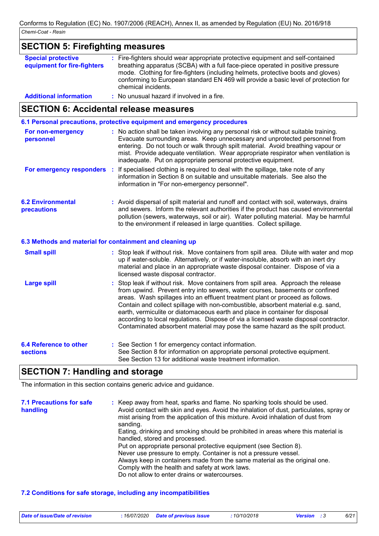| <b>SECTION 5: Firefighting measures</b>                  |                                                                                                                                                                                                                                                                                                                                                                       |
|----------------------------------------------------------|-----------------------------------------------------------------------------------------------------------------------------------------------------------------------------------------------------------------------------------------------------------------------------------------------------------------------------------------------------------------------|
| <b>Special protective</b><br>equipment for fire-fighters | : Fire-fighters should wear appropriate protective equipment and self-contained<br>breathing apparatus (SCBA) with a full face-piece operated in positive pressure<br>mode. Clothing for fire-fighters (including helmets, protective boots and gloves)<br>conforming to European standard EN 469 will provide a basic level of protection for<br>chemical incidents. |
| <b>Additional information</b>                            | : No unusual hazard if involved in a fire.                                                                                                                                                                                                                                                                                                                            |

### **SECTION 6: Accidental release measures**

**6.1 Personal precautions, protective equipment and emergency procedures**

| For non-emergency<br>personnel                           | : No action shall be taken involving any personal risk or without suitable training.<br>Evacuate surrounding areas. Keep unnecessary and unprotected personnel from<br>entering. Do not touch or walk through spilt material. Avoid breathing vapour or<br>mist. Provide adequate ventilation. Wear appropriate respirator when ventilation is<br>inadequate. Put on appropriate personal protective equipment.                                                                                                 |
|----------------------------------------------------------|-----------------------------------------------------------------------------------------------------------------------------------------------------------------------------------------------------------------------------------------------------------------------------------------------------------------------------------------------------------------------------------------------------------------------------------------------------------------------------------------------------------------|
|                                                          | For emergency responders : If specialised clothing is required to deal with the spillage, take note of any<br>information in Section 8 on suitable and unsuitable materials. See also the<br>information in "For non-emergency personnel".                                                                                                                                                                                                                                                                      |
| <b>6.2 Environmental</b><br>precautions                  | : Avoid dispersal of spilt material and runoff and contact with soil, waterways, drains<br>and sewers. Inform the relevant authorities if the product has caused environmental<br>pollution (sewers, waterways, soil or air). Water polluting material. May be harmful<br>to the environment if released in large quantities. Collect spillage.                                                                                                                                                                 |
| 6.3 Methods and material for containment and cleaning up |                                                                                                                                                                                                                                                                                                                                                                                                                                                                                                                 |
| <b>Small spill</b>                                       | : Stop leak if without risk. Move containers from spill area. Dilute with water and mop<br>up if water-soluble. Alternatively, or if water-insoluble, absorb with an inert dry<br>material and place in an appropriate waste disposal container. Dispose of via a<br>licensed waste disposal contractor.                                                                                                                                                                                                        |
| <b>Large spill</b>                                       | : Stop leak if without risk. Move containers from spill area. Approach the release<br>from upwind. Prevent entry into sewers, water courses, basements or confined<br>areas. Wash spillages into an effluent treatment plant or proceed as follows.<br>Contain and collect spillage with non-combustible, absorbent material e.g. sand,<br>earth, vermiculite or diatomaceous earth and place in container for disposal<br>according to local regulations. Dispose of via a licensed waste disposal contractor. |

| 6.4 Reference to other<br><b>sections</b> | : See Section 1 for emergency contact information.<br>See Section 8 for information on appropriate personal protective equipment.<br>See Section 13 for additional waste treatment information. |
|-------------------------------------------|-------------------------------------------------------------------------------------------------------------------------------------------------------------------------------------------------|
|-------------------------------------------|-------------------------------------------------------------------------------------------------------------------------------------------------------------------------------------------------|

Contaminated absorbent material may pose the same hazard as the spilt product.

### **SECTION 7: Handling and storage**

The information in this section contains generic advice and guidance.

| <b>7.1 Precautions for safe</b><br>handling | : Keep away from heat, sparks and flame. No sparking tools should be used.<br>Avoid contact with skin and eyes. Avoid the inhalation of dust, particulates, spray or<br>mist arising from the application of this mixture. Avoid inhalation of dust from<br>sanding. |
|---------------------------------------------|----------------------------------------------------------------------------------------------------------------------------------------------------------------------------------------------------------------------------------------------------------------------|
|                                             | Eating, drinking and smoking should be prohibited in areas where this material is<br>handled, stored and processed.                                                                                                                                                  |
|                                             | Put on appropriate personal protective equipment (see Section 8).                                                                                                                                                                                                    |
|                                             | Never use pressure to empty. Container is not a pressure vessel.                                                                                                                                                                                                     |
|                                             | Always keep in containers made from the same material as the original one.                                                                                                                                                                                           |
|                                             | Comply with the health and safety at work laws.                                                                                                                                                                                                                      |
|                                             | Do not allow to enter drains or watercourses.                                                                                                                                                                                                                        |

#### **7.2 Conditions for safe storage, including any incompatibilities**

| Date of issue/Date of revision | : 16/07/2020 Date of previous issue | 10/10/2018 | <b>Version</b> : 3 | 6/21 |
|--------------------------------|-------------------------------------|------------|--------------------|------|
|--------------------------------|-------------------------------------|------------|--------------------|------|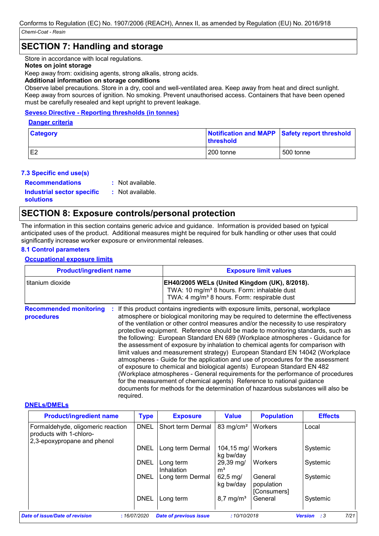### **SECTION 7: Handling and storage**

Store in accordance with local regulations.

### **Notes on joint storage**

Keep away from: oxidising agents, strong alkalis, strong acids.

#### **Additional information on storage conditions**

Observe label precautions. Store in a dry, cool and well-ventilated area. Keep away from heat and direct sunlight. Keep away from sources of ignition. No smoking. Prevent unauthorised access. Containers that have been opened must be carefully resealed and kept upright to prevent leakage.

### **Seveso Directive - Reporting thresholds (in tonnes)**

#### **Danger criteria**

| <b>Category</b> | <b>threshold</b> | Notification and MAPP Safety report threshold |
|-----------------|------------------|-----------------------------------------------|
| └               | 200 tonne        | 500 tonne                                     |

### **7.3 Specific end use(s)**

**Recommendations :**

: Not available.

**Industrial sector specific : solutions**

: Not available.

### **SECTION 8: Exposure controls/personal protection**

The information in this section contains generic advice and guidance. Information is provided based on typical anticipated uses of the product. Additional measures might be required for bulk handling or other uses that could significantly increase worker exposure or environmental releases.

### **8.1 Control parameters**

### **Occupational exposure limits**

| <b>Product/ingredient name</b>              |           | <b>Exposure limit values</b>                                                                                                                                                                                                                                                                                                                                                                                                                                                                                                                                                                                                                                                                                                                                                                                                                                                                                                                                                                                        |  |  |
|---------------------------------------------|-----------|---------------------------------------------------------------------------------------------------------------------------------------------------------------------------------------------------------------------------------------------------------------------------------------------------------------------------------------------------------------------------------------------------------------------------------------------------------------------------------------------------------------------------------------------------------------------------------------------------------------------------------------------------------------------------------------------------------------------------------------------------------------------------------------------------------------------------------------------------------------------------------------------------------------------------------------------------------------------------------------------------------------------|--|--|
| titanium dioxide                            |           | EH40/2005 WELs (United Kingdom (UK), 8/2018).<br>TWA: 10 mg/m <sup>3</sup> 8 hours. Form: inhalable dust<br>TWA: 4 mg/m <sup>3</sup> 8 hours. Form: respirable dust                                                                                                                                                                                                                                                                                                                                                                                                                                                                                                                                                                                                                                                                                                                                                                                                                                                 |  |  |
| <b>Recommended monitoring</b><br>procedures | required. | If this product contains ingredients with exposure limits, personal, workplace<br>atmosphere or biological monitoring may be required to determine the effectiveness<br>of the ventilation or other control measures and/or the necessity to use respiratory<br>protective equipment. Reference should be made to monitoring standards, such as<br>the following: European Standard EN 689 (Workplace atmospheres - Guidance for<br>the assessment of exposure by inhalation to chemical agents for comparison with<br>limit values and measurement strategy) European Standard EN 14042 (Workplace<br>atmospheres - Guide for the application and use of procedures for the assessment<br>of exposure to chemical and biological agents) European Standard EN 482<br>(Workplace atmospheres - General requirements for the performance of procedures<br>for the measurement of chemical agents) Reference to national guidance<br>documents for methods for the determination of hazardous substances will also be |  |  |

### **DNELs/DMELs**

| <b>Product/ingredient name</b>                                                              | <b>Type</b> | <b>Exposure</b>               | <b>Value</b>                      | <b>Population</b>                    | <b>Effects</b>                       |
|---------------------------------------------------------------------------------------------|-------------|-------------------------------|-----------------------------------|--------------------------------------|--------------------------------------|
| Formaldehyde, oligomeric reaction<br>products with 1-chloro-<br>2,3-epoxypropane and phenol | <b>DNEL</b> | Short term Dermal             | 83 mg/cm <sup>2</sup>             | Workers                              | Local                                |
|                                                                                             | DNEL        | Long term Dermal              | 104,15 mg/   Workers<br>kg bw/day |                                      | Systemic                             |
|                                                                                             | <b>DNEL</b> | Long term<br>Inhalation       | 29,39 mg/<br>m <sup>3</sup>       | Workers                              | Systemic                             |
|                                                                                             | DNEL        | Long term Dermal              | $62,5 \,\mathrm{mg}$<br>kg bw/day | General<br>population<br>[Consumers] | Systemic                             |
|                                                                                             | <b>DNEL</b> | Long term                     | $8,7 \,\mathrm{mg/m^3}$           | General                              | Systemic                             |
| Date of issue/Date of revision                                                              | :16/07/2020 | <b>Date of previous issue</b> | :10/10/2018                       |                                      | 7/21<br>$\cdot$ :3<br><b>Version</b> |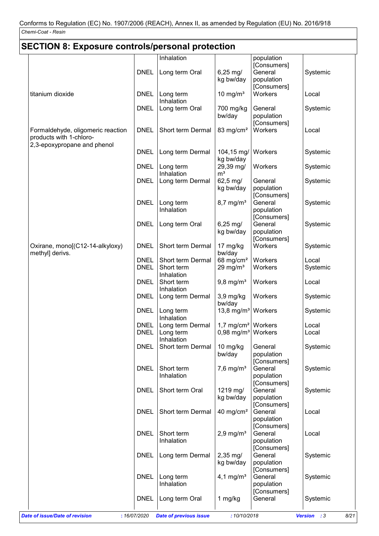| <b>SECTION 8: Exposure controls/personal protection</b>      |                            |                                                                                  |                                   |                                      |                     |
|--------------------------------------------------------------|----------------------------|----------------------------------------------------------------------------------|-----------------------------------|--------------------------------------|---------------------|
|                                                              |                            | Inhalation                                                                       |                                   | population                           |                     |
|                                                              | <b>DNEL</b>                | Long term Oral                                                                   | $6,25$ mg/<br>kg bw/day           | [Consumers]<br>General<br>population | Systemic            |
| titanium dioxide                                             | <b>DNEL</b>                | Long term<br>Inhalation                                                          | $10$ mg/m <sup>3</sup>            | [Consumers]<br>Workers               | Local               |
|                                                              | <b>DNEL</b>                | Long term Oral                                                                   | 700 mg/kg<br>bw/day               | General<br>population                | Systemic            |
| Formaldehyde, oligomeric reaction<br>products with 1-chloro- | <b>DNEL</b>                | Short term Dermal                                                                | 83 mg/cm <sup>2</sup>             | [Consumers]<br>Workers               | Local               |
| 2,3-epoxypropane and phenol                                  | <b>DNEL</b>                | Long term Dermal                                                                 | 104,15 mg/<br>kg bw/day           | Workers                              | Systemic            |
|                                                              | <b>DNEL</b>                | Long term<br>Inhalation                                                          | 29,39 mg/<br>m <sup>3</sup>       | Workers                              | Systemic            |
|                                                              | <b>DNEL</b>                | Long term Dermal                                                                 | 62,5 mg/<br>kg bw/day             | General<br>population<br>[Consumers] | Systemic            |
|                                                              | <b>DNEL</b>                | Long term<br>Inhalation                                                          | $8,7$ mg/m <sup>3</sup>           | General<br>population<br>[Consumers] | Systemic            |
|                                                              | <b>DNEL</b>                | Long term Oral                                                                   | $6,25 \,\mathrm{mg}$<br>kg bw/day | General<br>population<br>[Consumers] | Systemic            |
| Oxirane, mono[(C12-14-alkyloxy)<br>methyl] derivs.           | <b>DNEL</b>                | Short term Dermal                                                                | 17 mg/kg<br>bw/day                | Workers                              | Systemic            |
|                                                              | <b>DNEL</b><br><b>DNEL</b> | Short term Dermal<br>Short term<br>Inhalation                                    | 68 mg/cm $2$<br>29 mg/ $m3$       | Workers<br>Workers                   | Local<br>Systemic   |
|                                                              | <b>DNEL</b>                | Short term<br>Inhalation                                                         | $9,8$ mg/m <sup>3</sup>           | Workers                              | Local               |
|                                                              | <b>DNEL</b>                | Long term Dermal                                                                 | 3,9 mg/kg<br>bw/day               | Workers                              | Systemic            |
|                                                              | <b>DNEL</b>                | Long term<br>Inhalation                                                          | 13,8 mg/m <sup>3</sup> Workers    |                                      | Systemic            |
|                                                              | <b>DNEL</b><br><b>DNEL</b> | Long term Dermal   $1,7$ mg/cm <sup>2</sup>   Workers<br>Long term<br>Inhalation | $0,98 \text{ mg/m}^3$             | Workers                              | Local<br>Local      |
|                                                              | <b>DNEL</b>                | Short term Dermal                                                                | 10 mg/kg<br>bw/day                | General<br>population<br>[Consumers] | Systemic            |
|                                                              | <b>DNEL</b>                | Short term<br>Inhalation                                                         | $7,6$ mg/m <sup>3</sup>           | General<br>population                | Systemic            |
|                                                              | <b>DNEL</b>                | Short term Oral                                                                  | 1219 mg/<br>kg bw/day             | [Consumers]<br>General<br>population | Systemic            |
|                                                              | <b>DNEL</b>                | Short term Dermal                                                                | 40 mg/cm <sup>2</sup>             | [Consumers]<br>General<br>population | Local               |
|                                                              | <b>DNEL</b>                | Short term<br>Inhalation                                                         | $2,9$ mg/m <sup>3</sup>           | [Consumers]<br>General<br>population | Local               |
|                                                              | <b>DNEL</b>                | Long term Dermal                                                                 | $2,35 \, \text{mg}$<br>kg bw/day  | [Consumers]<br>General<br>population | Systemic            |
|                                                              | <b>DNEL</b>                | Long term<br>Inhalation                                                          | 4,1 mg/ $m^3$                     | [Consumers]<br>General<br>population | Systemic            |
|                                                              | <b>DNEL</b>                | Long term Oral                                                                   | 1 mg/kg                           | [Consumers]<br>General               | Systemic            |
| <b>Date of issue/Date of revision</b>                        | : 16/07/2020               | <b>Date of previous issue</b>                                                    | : 10/10/2018                      |                                      | Version : 3<br>8/21 |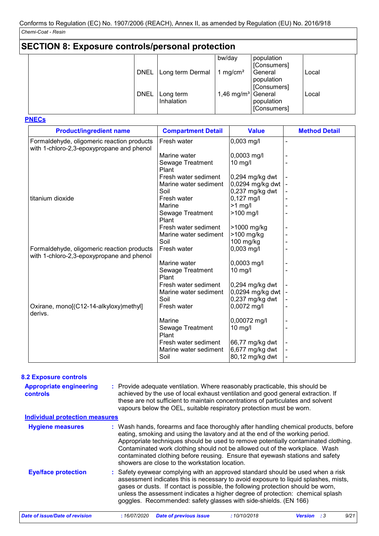| <b>SECTION 8: Exposure controls/personal protection</b> |             |                         |                        |                                      |       |
|---------------------------------------------------------|-------------|-------------------------|------------------------|--------------------------------------|-------|
|                                                         |             |                         | bw/day                 | population<br>[Consumers]            |       |
|                                                         | <b>DNEL</b> | Long term Dermal        | 1 mg/cm <sup>2</sup>   | General<br>population<br>[Consumers] | Local |
|                                                         | <b>DNEL</b> | Long term<br>Inhalation | 1,46 mg/m <sup>3</sup> | General<br>population<br>[Consumers] | Local |

**PNECs**

| <b>Product/ingredient name</b>                                                          | <b>Compartment Detail</b> | <b>Value</b>      | <b>Method Detail</b> |
|-----------------------------------------------------------------------------------------|---------------------------|-------------------|----------------------|
| Formaldehyde, oligomeric reaction products<br>with 1-chloro-2,3-epoxypropane and phenol | Fresh water               | $0,003$ mg/l      |                      |
|                                                                                         | Marine water              | 0,0003 mg/l       |                      |
|                                                                                         | Sewage Treatment<br>Plant | $10$ mg/l         |                      |
|                                                                                         | Fresh water sediment      | 0,294 mg/kg dwt   |                      |
|                                                                                         | Marine water sediment     | 0,0294 mg/kg dwt  |                      |
|                                                                                         | Soil                      | 0,237 mg/kg dwt   |                      |
| titanium dioxide                                                                        | Fresh water               | $0,127$ mg/l      |                      |
|                                                                                         | Marine                    | $>1$ mg/l         |                      |
|                                                                                         | Sewage Treatment<br>Plant | >100 mg/l         |                      |
|                                                                                         | Fresh water sediment      | >1000 mg/kg       |                      |
|                                                                                         | Marine water sediment     | $>100$ mg/kg      |                      |
|                                                                                         | Soil                      | $100$ mg/kg       |                      |
| Formaldehyde, oligomeric reaction products<br>with 1-chloro-2,3-epoxypropane and phenol | Fresh water               | $0,003$ mg/l      |                      |
|                                                                                         | Marine water              | 0,0003 mg/l       |                      |
|                                                                                         | Sewage Treatment<br>Plant | $10$ mg/l         |                      |
|                                                                                         | Fresh water sediment      | 0,294 mg/kg dwt   |                      |
|                                                                                         | Marine water sediment     | 0,0294 mg/kg dwt  |                      |
|                                                                                         | Soil                      | $0,237$ mg/kg dwt |                      |
| Oxirane, mono[(C12-14-alkyloxy)methyl]<br>derivs.                                       | Fresh water               | 0,0072 mg/l       |                      |
|                                                                                         | Marine                    | 0,00072 mg/l      |                      |
|                                                                                         | Sewage Treatment<br>Plant | 10 mg/l           |                      |
|                                                                                         | Fresh water sediment      | 66,77 mg/kg dwt   |                      |
|                                                                                         | Marine water sediment     | 6,677 mg/kg dwt   |                      |
|                                                                                         | Soil                      | 80,12 mg/kg dwt   |                      |

#### **8.2 Exposure controls**

| <b>Appropriate engineering</b><br><b>controls</b> | : Provide adequate ventilation. Where reasonably practicable, this should be<br>achieved by the use of local exhaust ventilation and good general extraction. If<br>these are not sufficient to maintain concentrations of particulates and solvent<br>vapours below the OEL, suitable respiratory protection must be worn.                                                                                                                                                 |
|---------------------------------------------------|-----------------------------------------------------------------------------------------------------------------------------------------------------------------------------------------------------------------------------------------------------------------------------------------------------------------------------------------------------------------------------------------------------------------------------------------------------------------------------|
| <b>Individual protection measures</b>             |                                                                                                                                                                                                                                                                                                                                                                                                                                                                             |
| <b>Hygiene measures</b>                           | : Wash hands, forearms and face thoroughly after handling chemical products, before<br>eating, smoking and using the lavatory and at the end of the working period.<br>Appropriate techniques should be used to remove potentially contaminated clothing.<br>Contaminated work clothing should not be allowed out of the workplace. Wash<br>contaminated clothing before reusing. Ensure that eyewash stations and safety<br>showers are close to the workstation location. |
| <b>Eye/face protection</b>                        | : Safety eyewear complying with an approved standard should be used when a risk<br>assessment indicates this is necessary to avoid exposure to liquid splashes, mists,<br>gases or dusts. If contact is possible, the following protection should be worn,<br>unless the assessment indicates a higher degree of protection: chemical splash<br>goggles. Recommended: safety glasses with side-shields. (EN 166)                                                            |
| Date of issue/Date of revision                    | <b>Date of previous issue</b><br>9/21<br>:16/07/2020<br>:10/10/2018<br><b>Version</b> : 3                                                                                                                                                                                                                                                                                                                                                                                   |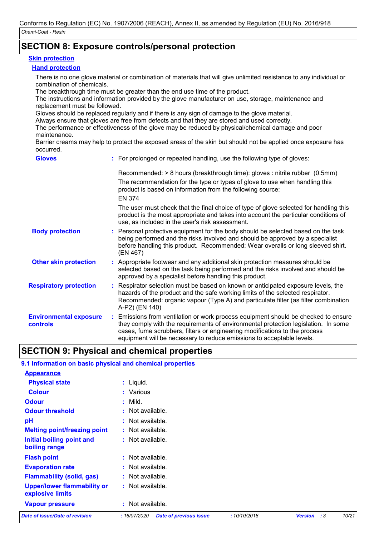### **SECTION 8: Exposure controls/personal protection**

#### **Skin protection**

### **Hand protection**

There is no one glove material or combination of materials that will give unlimited resistance to any individual or combination of chemicals.

The breakthrough time must be greater than the end use time of the product.

The instructions and information provided by the glove manufacturer on use, storage, maintenance and replacement must be followed.

Gloves should be replaced regularly and if there is any sign of damage to the glove material.

Always ensure that gloves are free from defects and that they are stored and used correctly.

The performance or effectiveness of the glove may be reduced by physical/chemical damage and poor maintenance.

Barrier creams may help to protect the exposed areas of the skin but should not be applied once exposure has occurred.

| <b>Gloves</b>                             | : For prolonged or repeated handling, use the following type of gloves:                                                                                                                                                                                                                                                         |
|-------------------------------------------|---------------------------------------------------------------------------------------------------------------------------------------------------------------------------------------------------------------------------------------------------------------------------------------------------------------------------------|
|                                           | Recommended: > 8 hours (breakthrough time): gloves : nitrile rubber (0.5mm)<br>The recommendation for the type or types of glove to use when handling this<br>product is based on information from the following source:<br><b>EN 374</b>                                                                                       |
|                                           | The user must check that the final choice of type of glove selected for handling this<br>product is the most appropriate and takes into account the particular conditions of<br>use, as included in the user's risk assessment.                                                                                                 |
| <b>Body protection</b>                    | : Personal protective equipment for the body should be selected based on the task<br>being performed and the risks involved and should be approved by a specialist<br>before handling this product. Recommended: Wear overalls or long sleeved shirt.<br>(EN 467)                                                               |
| <b>Other skin protection</b>              | : Appropriate footwear and any additional skin protection measures should be<br>selected based on the task being performed and the risks involved and should be<br>approved by a specialist before handling this product.                                                                                                       |
| <b>Respiratory protection</b>             | : Respirator selection must be based on known or anticipated exposure levels, the<br>hazards of the product and the safe working limits of the selected respirator.<br>Recommended: organic vapour (Type A) and particulate filter (as filter combination<br>A-P2) (EN 140)                                                     |
| <b>Environmental exposure</b><br>controls | : Emissions from ventilation or work process equipment should be checked to ensure<br>they comply with the requirements of environmental protection legislation. In some<br>cases, fume scrubbers, filters or engineering modifications to the process<br>equipment will be necessary to reduce emissions to acceptable levels. |

### **SECTION 9: Physical and chemical properties**

| <b>Date of issue/Date of revision</b>                     | :16/07/2020<br><b>Date of previous issue</b> | :10/10/2018 | <b>Version</b><br>:3 | 10/21 |
|-----------------------------------------------------------|----------------------------------------------|-------------|----------------------|-------|
| <b>Vapour pressure</b>                                    | $:$ Not available.                           |             |                      |       |
| <b>Upper/lower flammability or</b><br>explosive limits    | : Not available.                             |             |                      |       |
| <b>Flammability (solid, gas)</b>                          | : Not available.                             |             |                      |       |
| <b>Evaporation rate</b>                                   | : Not available.                             |             |                      |       |
| <b>Flash point</b>                                        | : Not available.                             |             |                      |       |
| Initial boiling point and<br>boiling range                | : Not available.                             |             |                      |       |
| <b>Melting point/freezing point</b>                       | : Not available.                             |             |                      |       |
| pH                                                        | Not available.                               |             |                      |       |
| <b>Odour threshold</b>                                    | $:$ Not available.                           |             |                      |       |
| <b>Odour</b>                                              | Mild.<br>÷.                                  |             |                      |       |
| <b>Colour</b>                                             | : Various                                    |             |                      |       |
| <b>Physical state</b>                                     | $:$ Liquid.                                  |             |                      |       |
| <b>Appearance</b>                                         |                                              |             |                      |       |
| 9.1 Information on basic physical and chemical properties |                                              |             |                      |       |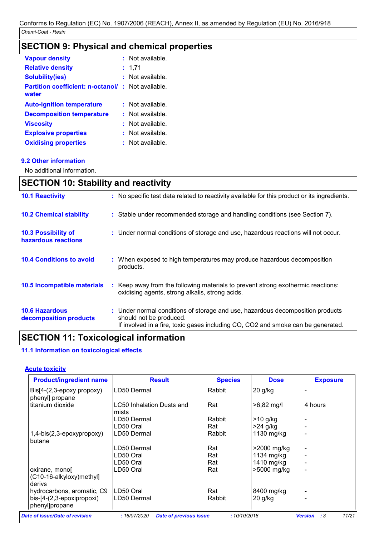## **SECTION 9: Physical and chemical properties**

| <b>Vapour density</b>                             | : Not available. |
|---------------------------------------------------|------------------|
| <b>Relative density</b>                           | 1,71             |
| <b>Solubility(ies)</b>                            | Not available.   |
| <b>Partition coefficient: n-octanol/</b><br>water | : Not available. |
| <b>Auto-ignition temperature</b>                  | Not available.   |
| <b>Decomposition temperature</b>                  | Not available.   |
| <b>Viscosity</b>                                  | Not available.   |
| <b>Explosive properties</b>                       | Not available.   |
| <b>Oxidising properties</b>                       | Not available.   |

### **9.2 Other information**

 $\mathbf{r}$ 

No additional information.

| <b>SECTION 10: Stability and reactivity</b>                                                                                                                                                   |  |  |  |  |
|-----------------------------------------------------------------------------------------------------------------------------------------------------------------------------------------------|--|--|--|--|
| : No specific test data related to reactivity available for this product or its ingredients.                                                                                                  |  |  |  |  |
| : Stable under recommended storage and handling conditions (see Section 7).                                                                                                                   |  |  |  |  |
| : Under normal conditions of storage and use, hazardous reactions will not occur.                                                                                                             |  |  |  |  |
| : When exposed to high temperatures may produce hazardous decomposition<br>products.                                                                                                          |  |  |  |  |
| : Keep away from the following materials to prevent strong exothermic reactions:<br>oxidising agents, strong alkalis, strong acids.                                                           |  |  |  |  |
| : Under normal conditions of storage and use, hazardous decomposition products<br>should not be produced.<br>If involved in a fire, toxic gases including CO, CO2 and smoke can be generated. |  |  |  |  |
|                                                                                                                                                                                               |  |  |  |  |

### **SECTION 11: Toxicological information**

### **11.1 Information on toxicological effects**

### **Acute toxicity**

| <b>Product/ingredient name</b>                                         | <b>Result</b>                      | <b>Species</b> | <b>Dose</b>  | <b>Exposure</b> |
|------------------------------------------------------------------------|------------------------------------|----------------|--------------|-----------------|
| $\text{Bis}[4-(2,3-\text{epoxy} \text{ property})]$<br>phenyl] propane | LD50 Dermal                        | Rabbit         | $20$ g/kg    |                 |
| titanium dioxide                                                       | LC50 Inhalation Dusts and<br>mists | Rat            | $>6,82$ mg/l | 4 hours         |
|                                                                        | LD50 Dermal                        | Rabbit         | $>10$ g/kg   |                 |
|                                                                        | LD50 Oral                          | Rat            | $>24$ g/kg   |                 |
| $1,4-bis(2,3-epoxypropoxy)$<br>butane                                  | LD50 Dermal                        | Rabbit         | 1130 mg/kg   |                 |
|                                                                        | LD50 Dermal                        | Rat            | >2000 mg/kg  |                 |
|                                                                        | LD50 Oral                          | Rat            | 1134 mg/kg   |                 |
|                                                                        | LD50 Oral                          | Rat            | 1410 mg/kg   |                 |
| oxirane, mono<br>(C10-16-alkyloxy)methyl]<br>derivs                    | LD50 Oral                          | Rat            | >5000 mg/kg  |                 |
| hydrocarbons, aromatic, C9                                             | LD50 Oral                          | Rat            | 8400 mg/kg   |                 |
| bis-[4-(2,3-epoxipropoxi)<br>phenyl]propane                            | LD50 Dermal                        | Rabbit         | $20$ g/kg    |                 |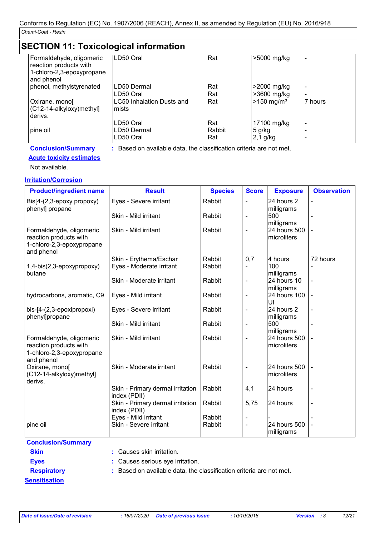### **SECTION 11: Toxicological information**

| Formaldehyde, oligomeric<br>reaction products with<br>1-chloro-2,3-epoxypropane | LD50 Oral                                                           | Rat    | >5000 mg/kg              |         |
|---------------------------------------------------------------------------------|---------------------------------------------------------------------|--------|--------------------------|---------|
| and phenol                                                                      |                                                                     |        |                          |         |
| phenol, methylstyrenated                                                        | LD50 Dermal                                                         | Rat    | >2000 mg/kg              |         |
|                                                                                 | LD50 Oral                                                           | Rat    | >3600 mg/kg              |         |
| Oxirane, mono<br>(C12-14-alkyloxy)methyl]<br>derivs.                            | LC50 Inhalation Dusts and<br>mists                                  | Rat    | $>150$ mg/m <sup>3</sup> | 7 hours |
|                                                                                 | LD50 Oral                                                           | Rat    | 17100 mg/kg              |         |
| pine oil                                                                        | LD50 Dermal                                                         | Rabbit | 5 g/kg                   |         |
|                                                                                 | LD50 Oral                                                           | Rat    | $2,1$ g/kg               |         |
| <b>Conclusion/Summary</b>                                                       | : Based on available data, the classification criteria are not met. |        |                          |         |

### **Acute toxicity estimates**

Not available.

### **Irritation/Corrosion**

| <b>Product/ingredient name</b>                                                                | <b>Result</b>                                    | <b>Species</b>                                       | <b>Score</b>             | <b>Exposure</b>             | <b>Observation</b> |
|-----------------------------------------------------------------------------------------------|--------------------------------------------------|------------------------------------------------------|--------------------------|-----------------------------|--------------------|
| Bis[4-(2,3-epoxy propoxy)<br>phenyl] propane                                                  | Eyes - Severe irritant                           | Rabbit<br>24 hours 2<br>$\blacksquare$<br>milligrams |                          | $\overline{\phantom{a}}$    |                    |
|                                                                                               | Skin - Mild irritant                             | Rabbit                                               | $\overline{\phantom{a}}$ | 500<br>milligrams           |                    |
| Formaldehyde, oligomeric<br>reaction products with<br>1-chloro-2,3-epoxypropane<br>and phenol | Skin - Mild irritant                             | Rabbit                                               | $\overline{\phantom{a}}$ | 24 hours 500<br>microliters |                    |
|                                                                                               | Skin - Erythema/Eschar                           | Rabbit                                               | 0,7                      | 4 hours                     | 72 hours           |
| 1,4-bis(2,3-epoxypropoxy)<br>butane                                                           | Eyes - Moderate irritant                         | Rabbit                                               |                          | 100<br>milligrams           |                    |
|                                                                                               | Skin - Moderate irritant                         | Rabbit                                               | $\overline{\phantom{a}}$ | 24 hours 10<br>milligrams   |                    |
| hydrocarbons, aromatic, C9                                                                    | Eyes - Mild irritant                             | Rabbit                                               | $\overline{\phantom{a}}$ | 24 hours 100<br>UI          |                    |
| bis-[4-(2,3-epoxipropoxi)<br>phenyl]propane                                                   | Eyes - Severe irritant                           | Rabbit                                               | $\overline{\phantom{a}}$ | 24 hours 2<br>milligrams    | $\blacksquare$     |
|                                                                                               | Skin - Mild irritant                             | Rabbit                                               | $\overline{\phantom{a}}$ | 500<br>milligrams           |                    |
| Formaldehyde, oligomeric<br>reaction products with<br>1-chloro-2,3-epoxypropane<br>and phenol | Skin - Mild irritant                             | Rabbit                                               | $\overline{\phantom{a}}$ | 24 hours 500<br>microliters |                    |
| Oxirane, mono[<br>(C12-14-alkyloxy)methyl]<br>derivs.                                         | Skin - Moderate irritant                         | Rabbit                                               | $\blacksquare$           | 24 hours 500<br>microliters |                    |
|                                                                                               | Skin - Primary dermal irritation<br>index (PDII) | Rabbit                                               | 4,1                      | 24 hours                    |                    |
|                                                                                               | Skin - Primary dermal irritation<br>index (PDII) | Rabbit                                               | 5,75                     | 24 hours                    | $\blacksquare$     |
|                                                                                               | Eyes - Mild irritant                             | Rabbit                                               |                          |                             |                    |
| pine oil                                                                                      | Skin - Severe irritant                           | Rabbit                                               | $\blacksquare$           | 24 hours 500<br>milligrams  |                    |

### **Conclusion/Summary**

**Skin :** Causes skin irritation.

- **Eyes :** Causes serious eye irritation.
- 
- **Respiratory :** Based on available data, the classification criteria are not met.

**Sensitisation**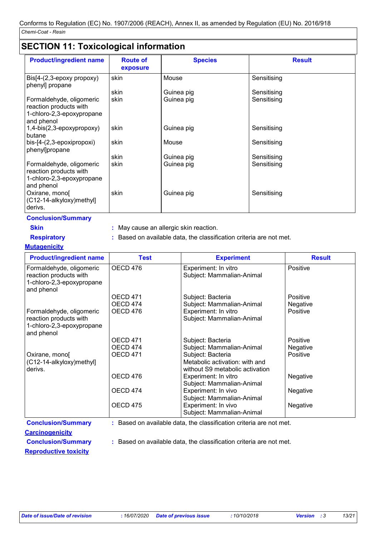### **SECTION 11: Toxicological information**

| <b>Product/ingredient name</b>                                                                | <b>Route of</b><br>exposure | <b>Species</b> | <b>Result</b> |  |  |
|-----------------------------------------------------------------------------------------------|-----------------------------|----------------|---------------|--|--|
| $\text{Bis}[4-(2,3-\text{epoxy} \text{ property})]$<br>phenyl] propane                        | skin                        | Mouse          | Sensitising   |  |  |
|                                                                                               | skin                        | Guinea pig     | Sensitising   |  |  |
| Formaldehyde, oligomeric<br>reaction products with<br>1-chloro-2,3-epoxypropane<br>and phenol | skin                        | Guinea pig     | Sensitising   |  |  |
| 1,4-bis(2,3-epoxypropoxy)<br>butane                                                           | skin                        | Guinea pig     | Sensitising   |  |  |
| bis-[4-(2,3-epoxipropoxi)<br>phenyl]propane                                                   | skin                        | Mouse          | Sensitising   |  |  |
|                                                                                               | skin                        | Guinea pig     | Sensitising   |  |  |
| Formaldehyde, oligomeric<br>reaction products with<br>1-chloro-2,3-epoxypropane<br>and phenol | skin                        | Guinea pig     | Sensitising   |  |  |
| Oxirane, mono[<br>(C12-14-alkyloxy)methyl]<br>derivs.                                         | skin                        | Guinea pig     | Sensitising   |  |  |

**Conclusion/Summary**

**Skin :** May cause an allergic skin reaction.

**Respiratory :** Based on available data, the classification criteria are not met.

**Mutagenicity**

| <b>Product/ingredient name</b>                                                                | <b>Test</b>     | <b>Experiment</b>                                                   | <b>Result</b> |
|-----------------------------------------------------------------------------------------------|-----------------|---------------------------------------------------------------------|---------------|
| Formaldehyde, oligomeric<br>reaction products with<br>1-chloro-2,3-epoxypropane<br>and phenol | OECD 476        | Experiment: In vitro<br>Subject: Mammalian-Animal                   | Positive      |
|                                                                                               | <b>OECD 471</b> | Subject: Bacteria                                                   | Positive      |
|                                                                                               | OECD 474        | Subject: Mammalian-Animal                                           | Negative      |
| Formaldehyde, oligomeric                                                                      | OECD 476        | Experiment: In vitro                                                | Positive      |
| reaction products with                                                                        |                 | Subject: Mammalian-Animal                                           |               |
| 1-chloro-2,3-epoxypropane<br>and phenol                                                       |                 |                                                                     |               |
|                                                                                               | OECD 471        | Subject: Bacteria                                                   | Positive      |
|                                                                                               | OECD 474        | Subject: Mammalian-Animal                                           | Negative      |
| Oxirane, mono                                                                                 | OECD 471        | Subject: Bacteria                                                   | Positive      |
| (C12-14-alkyloxy)methyl]                                                                      |                 | Metabolic activation: with and                                      |               |
| derivs.                                                                                       |                 | without S9 metabolic activation                                     |               |
|                                                                                               | OECD 476        | Experiment: In vitro                                                | Negative      |
|                                                                                               |                 | Subject: Mammalian-Animal                                           |               |
|                                                                                               | OECD 474        | Experiment: In vivo                                                 | Negative      |
|                                                                                               |                 | Subject: Mammalian-Animal                                           |               |
|                                                                                               | OECD 475        | Experiment: In vivo                                                 | Negative      |
|                                                                                               |                 | Subject: Mammalian-Animal                                           |               |
| <b>Conclusion/Summary</b>                                                                     |                 | : Based on available data, the classification criteria are not met. |               |

**Carcinogenicity**

**Conclusion/Summary :** Based on available data, the classification criteria are not met.

**Reproductive toxicity**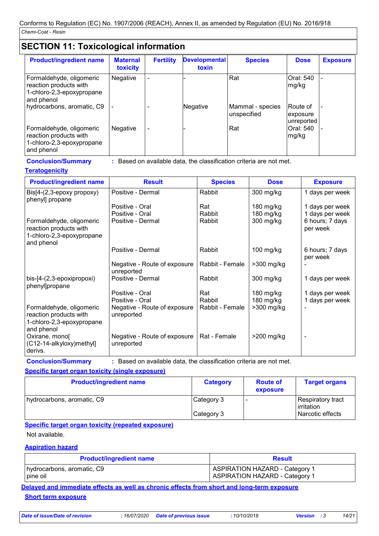## **SECTION 11: Toxicological information**

| <b>Product/ingredient name</b>                                                                | <b>Maternal</b><br>toxicity | <b>Fertility</b>         | <b>Developmental</b><br>toxin | <b>Species</b>                  | <b>Dose</b>                         | <b>Exposure</b> |
|-----------------------------------------------------------------------------------------------|-----------------------------|--------------------------|-------------------------------|---------------------------------|-------------------------------------|-----------------|
| Formaldehyde, oligomeric<br>reaction products with<br>1-chloro-2,3-epoxypropane<br>and phenol | <b>Negative</b>             | $\overline{\phantom{0}}$ |                               | Rat                             | Oral: 540<br>mg/kg                  |                 |
| hydrocarbons, aromatic, C9                                                                    |                             | ۰                        | Negative                      | Mammal - species<br>unspecified | IRoute of<br>exposure<br>unreported |                 |
| Formaldehyde, oligomeric<br>reaction products with<br>1-chloro-2,3-epoxypropane<br>and phenol | <b>Negative</b>             | $\overline{\phantom{a}}$ |                               | Rat                             | Oral: 540<br>mg/kg                  |                 |

**Conclusion/Summary :** Based on available data, the classification criteria are not met.

### **Teratogenicity**

| <b>Product/ingredient name</b>                                                                | <b>Result</b>                              | <b>Species</b>  | <b>Dose</b>  | <b>Exposure</b>             |
|-----------------------------------------------------------------------------------------------|--------------------------------------------|-----------------|--------------|-----------------------------|
| $\text{Bis}[4-(2,3-\text{epoxy} \text{ property})]$<br>phenyl] propane                        | Positive - Dermal                          | Rabbit          | 300 mg/kg    | 1 days per week             |
|                                                                                               | Positive - Oral                            | Rat             | $180$ mg/kg  | 1 days per week             |
|                                                                                               | Positive - Oral                            | Rabbit          | 180 mg/kg    | 1 days per week             |
| Formaldehyde, oligomeric<br>reaction products with<br>1-chloro-2,3-epoxypropane<br>and phenol | Positive - Dermal                          | Rabbit          | 300 mg/kg    | 6 hours; 7 days<br>per week |
|                                                                                               | Positive - Dermal                          | Rabbit          | $100$ mg/kg  | 6 hours; 7 days<br>per week |
|                                                                                               | Negative - Route of exposure<br>unreported | Rabbit - Female | $>300$ mg/kg |                             |
| bis-[4-(2,3-epoxipropoxi)<br>phenyl]propane                                                   | Positive - Dermal                          | Rabbit          | 300 mg/kg    | 1 days per week             |
|                                                                                               | Positive - Oral                            | Rat             | 180 mg/kg    | 1 days per week             |
|                                                                                               | Positive - Oral                            | Rabbit          | 180 mg/kg    | 1 days per week             |
| Formaldehyde, oligomeric<br>reaction products with                                            | Negative - Route of exposure<br>unreported | Rabbit - Female | $>300$ mg/kg |                             |
| 1-chloro-2,3-epoxypropane                                                                     |                                            |                 |              |                             |
| and phenol<br>Oxirane, mono<br>(C12-14-alkyloxy) methyl<br>derivs.                            | Negative - Route of exposure<br>unreported | Rat - Female    | $>200$ mg/kg |                             |

**Conclusion/Summary :** Based on available data, the classification criteria are not met.

### **Specific target organ toxicity (single exposure)**

| <b>Product/ingredient name</b> | <b>Category</b> | <b>Route of</b><br>exposure | <b>Target organs</b>            |
|--------------------------------|-----------------|-----------------------------|---------------------------------|
| hydrocarbons, aromatic, C9     | Category 3      |                             | Respiratory tract<br>irritation |
|                                | Category 3      |                             | Narcotic effects                |

### **Specific target organ toxicity (repeated exposure)**

Not available.

### **Aspiration hazard**

| <b>Product/ingredient name</b> | <b>Result</b>                         |
|--------------------------------|---------------------------------------|
| hydrocarbons, aromatic, C9     | ASPIRATION HAZARD - Category 1        |
| pine oil                       | <b>ASPIRATION HAZARD - Category 1</b> |

**Delayed and immediate effects as well as chronic effects from short and long-term exposure Short term exposure**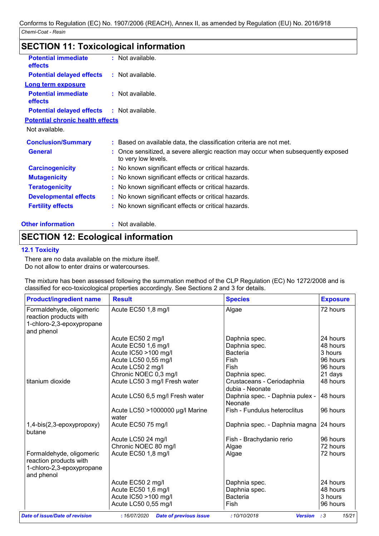| <b>SECTION 11: Toxicological information</b> |                                                                                                          |  |  |  |
|----------------------------------------------|----------------------------------------------------------------------------------------------------------|--|--|--|
| <b>Potential immediate</b><br>effects        | : Not available.                                                                                         |  |  |  |
| <b>Potential delayed effects</b>             | : Not available.                                                                                         |  |  |  |
| <b>Long term exposure</b>                    |                                                                                                          |  |  |  |
| <b>Potential immediate</b><br>effects        | $:$ Not available.                                                                                       |  |  |  |
| <b>Potential delayed effects</b>             | : Not available.                                                                                         |  |  |  |
| <b>Potential chronic health effects</b>      |                                                                                                          |  |  |  |
| Not available.                               |                                                                                                          |  |  |  |
| <b>Conclusion/Summary</b>                    | : Based on available data, the classification criteria are not met.                                      |  |  |  |
| <b>General</b>                               | : Once sensitized, a severe allergic reaction may occur when subsequently exposed<br>to very low levels. |  |  |  |
| <b>Carcinogenicity</b>                       | : No known significant effects or critical hazards.                                                      |  |  |  |
| <b>Mutagenicity</b>                          | : No known significant effects or critical hazards.                                                      |  |  |  |
| <b>Teratogenicity</b>                        | : No known significant effects or critical hazards.                                                      |  |  |  |
| <b>Developmental effects</b>                 | : No known significant effects or critical hazards.                                                      |  |  |  |
| <b>Fertility effects</b>                     | : No known significant effects or critical hazards.                                                      |  |  |  |
| <b>Other information</b>                     | : Not available.                                                                                         |  |  |  |

### **SECTION 12: Ecological information**

### **12.1 Toxicity**

There are no data available on the mixture itself. Do not allow to enter drains or watercourses.

The mixture has been assessed following the summation method of the CLP Regulation (EC) No 1272/2008 and is classified for eco-toxicological properties accordingly. See Sections 2 and 3 for details.

| <b>Product/ingredient name</b>                                                                | <b>Result</b>                            | <b>Species</b>                                | <b>Exposure</b> |
|-----------------------------------------------------------------------------------------------|------------------------------------------|-----------------------------------------------|-----------------|
| Formaldehyde, oligomeric<br>reaction products with<br>1-chloro-2,3-epoxypropane<br>and phenol | Acute EC50 1,8 mg/l                      | Algae                                         | 72 hours        |
|                                                                                               | Acute EC50 2 mg/l                        | Daphnia spec.                                 | 24 hours        |
|                                                                                               | Acute EC50 1,6 mg/l                      | Daphnia spec.                                 | 48 hours        |
|                                                                                               | Acute IC50 >100 mg/l                     | <b>Bacteria</b>                               | 3 hours         |
|                                                                                               | Acute LC50 0,55 mg/l                     | Fish                                          | 96 hours        |
|                                                                                               | Acute LC50 2 mg/l                        | Fish                                          | 96 hours        |
|                                                                                               | Chronic NOEC 0,3 mg/l                    | Daphnia spec.                                 | 21 days         |
| titanium dioxide                                                                              | Acute LC50 3 mg/l Fresh water            | Crustaceans - Ceriodaphnia<br>dubia - Neonate | 48 hours        |
|                                                                                               | Acute LC50 6,5 mg/l Fresh water          | Daphnia spec. - Daphnia pulex -<br>Neonate    | 48 hours        |
|                                                                                               | Acute LC50 >1000000 µg/l Marine<br>water | Fish - Fundulus heteroclitus                  | 96 hours        |
| 1,4-bis(2,3-epoxypropoxy)<br>butane                                                           | Acute EC50 75 mg/l                       | Daphnia spec. - Daphnia magna 24 hours        |                 |
|                                                                                               | Acute LC50 24 mg/l                       | Fish - Brachydanio rerio                      | 96 hours        |
|                                                                                               | Chronic NOEC 80 mg/l                     | Algae                                         | 72 hours        |
| Formaldehyde, oligomeric<br>reaction products with<br>1-chloro-2,3-epoxypropane<br>and phenol | Acute EC50 1,8 mg/l                      | Algae                                         | 72 hours        |
|                                                                                               | Acute EC50 2 mg/l                        | Daphnia spec.                                 | 24 hours        |
|                                                                                               | Acute EC50 1,6 mg/l                      | Daphnia spec.                                 | 48 hours        |
|                                                                                               | Acute IC50 >100 mg/l                     | <b>Bacteria</b>                               | 3 hours         |
|                                                                                               | Acute LC50 0,55 mg/l                     | Fish                                          | 96 hours        |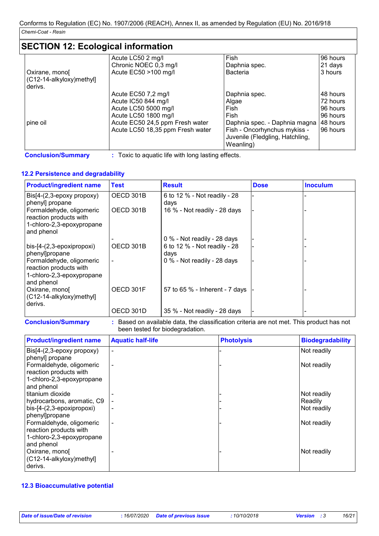### **SECTION 12: Ecological information**

|                          | Acute LC50 2 mg/l                | <b>Fish</b>                     | 96 hours  |
|--------------------------|----------------------------------|---------------------------------|-----------|
|                          | Chronic NOEC 0,3 mg/l            | Daphnia spec.                   | 21 days   |
| Oxirane, mono            | Acute EC50 >100 mg/l             | <b>Bacteria</b>                 | 3 hours   |
| (C12-14-alkyloxy)methyl] |                                  |                                 |           |
| derivs.                  |                                  |                                 |           |
|                          | Acute EC50 7,2 mg/l              | Daphnia spec.                   | 48 hours  |
|                          | Acute IC50 844 mg/l              | Algae                           | 72 hours  |
|                          | Acute LC50 5000 mg/l             | Fish                            | 196 hours |
|                          | Acute LC50 1800 mg/l             | Fish                            | 196 hours |
| pine oil                 | Acute EC50 24,5 ppm Fresh water  | Daphnia spec. - Daphnia magna   | 48 hours  |
|                          | Acute LC50 18,35 ppm Fresh water | Fish - Oncorhynchus mykiss -    | 96 hours  |
|                          |                                  | Juvenile (Fledgling, Hatchling, |           |
|                          |                                  | Weanling)                       |           |

**Conclusion/Summary :** Toxic to aquatic life with long lasting effects.

### **12.2 Persistence and degradability**

| <b>Product/ingredient name</b>                                                                | <b>Test</b> | <b>Result</b>                        | <b>Dose</b> | <b>Inoculum</b> |
|-----------------------------------------------------------------------------------------------|-------------|--------------------------------------|-------------|-----------------|
| Bis[4-(2,3-epoxy propoxy)<br>phenyl] propane                                                  | OECD 301B   | 6 to 12 % - Not readily - 28<br>days |             |                 |
| Formaldehyde, oligomeric<br>reaction products with<br>1-chloro-2,3-epoxypropane<br>and phenol | OECD 301B   | 16 % - Not readily - 28 days         |             |                 |
|                                                                                               |             | 0 % - Not readily - 28 days          |             |                 |
| bis-[4-(2,3-epoxipropoxi)<br>phenyl]propane                                                   | OECD 301B   | 6 to 12 % - Not readily - 28<br>days |             |                 |
| Formaldehyde, oligomeric<br>reaction products with<br>1-chloro-2,3-epoxypropane<br>and phenol |             | 0 % - Not readily - 28 days          |             |                 |
| Oxirane, mono<br>(C12-14-alkyloxy)methyl]<br>derivs.                                          | OECD 301F   | 57 to 65 % - Inherent - 7 days       |             |                 |
|                                                                                               | OECD 301D   | 35 % - Not readily - 28 days         |             |                 |

**Conclusion/Summary :** Based on available data, the classification criteria are not met. This product has not been tested for biodegradation.

| <b>Product/ingredient name</b> | <b>Aquatic half-life</b> | <b>Photolysis</b> | <b>Biodegradability</b> |
|--------------------------------|--------------------------|-------------------|-------------------------|
| Bis[4-(2,3-epoxy propoxy)      | $\overline{\phantom{a}}$ |                   | Not readily             |
| phenyl] propane                |                          |                   |                         |
| Formaldehyde, oligomeric       | $\overline{\phantom{a}}$ |                   | Not readily             |
| reaction products with         |                          |                   |                         |
| 1-chloro-2,3-epoxypropane      |                          |                   |                         |
| and phenol                     |                          |                   |                         |
| titanium dioxide               |                          |                   | Not readily             |
| hydrocarbons, aromatic, C9     |                          |                   | Readily                 |
| bis-[4-(2,3-epoxipropoxi)      | $\overline{\phantom{a}}$ |                   | Not readily             |
| phenyl]propane                 |                          |                   |                         |
| Formaldehyde, oligomeric       | $\overline{\phantom{a}}$ |                   | Not readily             |
| reaction products with         |                          |                   |                         |
| 1-chloro-2,3-epoxypropane      |                          |                   |                         |
| and phenol                     |                          |                   |                         |
| Oxirane, mono                  |                          |                   | Not readily             |
| (C12-14-alkyloxy)methyl]       |                          |                   |                         |
| derivs.                        |                          |                   |                         |

#### **12.3 Bioaccumulative potential**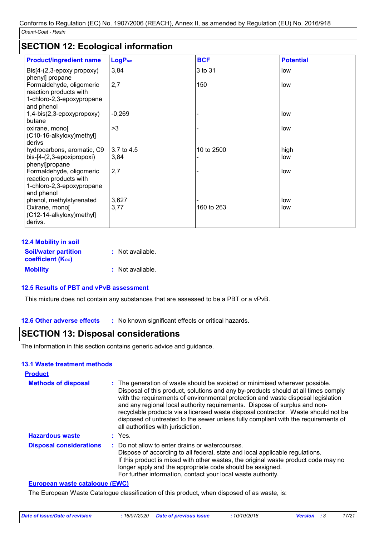### **SECTION 12: Ecological information**

| <b>Product/ingredient name</b>                                                                | LogP <sub>ow</sub> | <b>BCF</b> | <b>Potential</b> |
|-----------------------------------------------------------------------------------------------|--------------------|------------|------------------|
| $\text{Bis}[4-(2,3-\text{epoxy} \text{ property})]$<br>phenyl] propane                        | 3,84               | 3 to 31    | low              |
| Formaldehyde, oligomeric<br>reaction products with<br>1-chloro-2,3-epoxypropane<br>and phenol | 2,7                | 150        | low              |
| 1,4-bis(2,3-epoxypropoxy)<br>butane                                                           | $-0,269$           |            | low              |
| oxirane, mono<br>(C10-16-alkyloxy)methyl]<br>derivs                                           | >3                 |            | low              |
| hydrocarbons, aromatic, C9<br>bis-[4-(2,3-epoxipropoxi)<br>phenyl]propane                     | 3.7 to 4.5<br>3,84 | 10 to 2500 | high<br>low      |
| Formaldehyde, oligomeric<br>reaction products with<br>1-chloro-2,3-epoxypropane<br>and phenol | 2,7                |            | low              |
| phenol, methylstyrenated<br>Oxirane, mono[<br>(C12-14-alkyloxy)methyl]<br>derivs.             | 3,627<br>3,77      | 160 to 263 | low<br>low       |

| <b>12.4 Mobility in soil</b>                            |                  |
|---------------------------------------------------------|------------------|
| <b>Soil/water partition</b><br><b>coefficient (Koc)</b> | : Not available. |
| <b>Mobility</b>                                         | : Not available. |

### **12.5 Results of PBT and vPvB assessment**

This mixture does not contain any substances that are assessed to be a PBT or a vPvB.

**12.6 Other adverse effects** : No known significant effects or critical hazards.

### **SECTION 13: Disposal considerations**

The information in this section contains generic advice and guidance.

#### **13.1 Waste treatment methods**

| <b>Product</b>                 |                                                                                                                                                                                                                                                                                                                                                                                                                                                                                                                                                      |
|--------------------------------|------------------------------------------------------------------------------------------------------------------------------------------------------------------------------------------------------------------------------------------------------------------------------------------------------------------------------------------------------------------------------------------------------------------------------------------------------------------------------------------------------------------------------------------------------|
| <b>Methods of disposal</b>     | : The generation of waste should be avoided or minimised wherever possible.<br>Disposal of this product, solutions and any by-products should at all times comply<br>with the requirements of environmental protection and waste disposal legislation<br>and any regional local authority requirements. Dispose of surplus and non-<br>recyclable products via a licensed waste disposal contractor. Waste should not be<br>disposed of untreated to the sewer unless fully compliant with the requirements of<br>all authorities with jurisdiction. |
| <b>Hazardous waste</b>         | $:$ Yes.                                                                                                                                                                                                                                                                                                                                                                                                                                                                                                                                             |
| <b>Disposal considerations</b> | : Do not allow to enter drains or watercourses.<br>Dispose of according to all federal, state and local applicable regulations.<br>If this product is mixed with other wastes, the original waste product code may no<br>longer apply and the appropriate code should be assigned.<br>For further information, contact your local waste authority.                                                                                                                                                                                                   |

#### **European waste catalogue (EWC)**

The European Waste Catalogue classification of this product, when disposed of as waste, is:

| : 16/07/2020 Date of previous issue<br>Date of issue/Date of revision | 10/10/2018<br><b>Version</b> : 3 | 17/21 |
|-----------------------------------------------------------------------|----------------------------------|-------|
|-----------------------------------------------------------------------|----------------------------------|-------|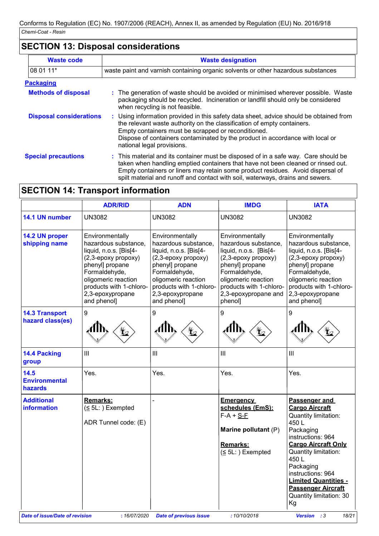## **SECTION 13: Disposal considerations**

| <b>Waste code</b>              | <b>Waste designation</b>                                                                                                                                                                                                                                                                                                                     |  |  |
|--------------------------------|----------------------------------------------------------------------------------------------------------------------------------------------------------------------------------------------------------------------------------------------------------------------------------------------------------------------------------------------|--|--|
| 08 01 11*                      | waste paint and varnish containing organic solvents or other hazardous substances                                                                                                                                                                                                                                                            |  |  |
| <b>Packaging</b>               |                                                                                                                                                                                                                                                                                                                                              |  |  |
| <b>Methods of disposal</b>     | : The generation of waste should be avoided or minimised wherever possible. Waste<br>packaging should be recycled. Incineration or landfill should only be considered<br>when recycling is not feasible.                                                                                                                                     |  |  |
| <b>Disposal considerations</b> | : Using information provided in this safety data sheet, advice should be obtained from<br>the relevant waste authority on the classification of empty containers.<br>Empty containers must be scrapped or reconditioned.<br>Dispose of containers contaminated by the product in accordance with local or<br>national legal provisions.      |  |  |
| <b>Special precautions</b>     | : This material and its container must be disposed of in a safe way. Care should be<br>taken when handling emptied containers that have not been cleaned or rinsed out.<br>Empty containers or liners may retain some product residues. Avoid dispersal of<br>spilt material and runoff and contact with soil, waterways, drains and sewers. |  |  |

## **SECTION 14: Transport information**

|                                           | <b>ADR/RID</b>                                                                                                                                                                                                    | <b>ADN</b>                                                                                                                                                                                                        | <b>IMDG</b>                                                                                                                                                                                                       | <b>IATA</b>                                                                                                                                                                                                                                                                                     |
|-------------------------------------------|-------------------------------------------------------------------------------------------------------------------------------------------------------------------------------------------------------------------|-------------------------------------------------------------------------------------------------------------------------------------------------------------------------------------------------------------------|-------------------------------------------------------------------------------------------------------------------------------------------------------------------------------------------------------------------|-------------------------------------------------------------------------------------------------------------------------------------------------------------------------------------------------------------------------------------------------------------------------------------------------|
| 14.1 UN number                            | <b>UN3082</b>                                                                                                                                                                                                     | <b>UN3082</b>                                                                                                                                                                                                     | <b>UN3082</b>                                                                                                                                                                                                     | UN3082                                                                                                                                                                                                                                                                                          |
| 14.2 UN proper<br>shipping name           | Environmentally<br>hazardous substance,<br>liquid, n.o.s. [Bis[4-<br>(2,3-epoxy propoxy)<br>phenyl] propane<br>Formaldehyde,<br>oligomeric reaction<br>products with 1-chloro-<br>2,3-epoxypropane<br>and phenol] | Environmentally<br>hazardous substance,<br>liquid, n.o.s. [Bis[4-<br>(2,3-epoxy propoxy)<br>phenyl] propane<br>Formaldehyde,<br>oligomeric reaction<br>products with 1-chloro-<br>2,3-epoxypropane<br>and phenol] | Environmentally<br>hazardous substance,<br>liquid, n.o.s. [Bis[4-<br>(2,3-epoxy propoxy)<br>phenyl] propane<br>Formaldehyde,<br>oligomeric reaction<br>products with 1-chloro-<br>2,3-epoxypropane and<br>phenol] | Environmentally<br>hazardous substance,<br>liquid, n.o.s. [Bis[4-<br>(2,3-epoxy propoxy)<br>phenyl] propane<br>Formaldehyde,<br>oligomeric reaction<br>products with 1-chloro-<br>2,3-epoxypropane<br>and phenol]                                                                               |
| <b>14.3 Transport</b><br>hazard class(es) | $\boldsymbol{9}$                                                                                                                                                                                                  | 9                                                                                                                                                                                                                 | 9                                                                                                                                                                                                                 | 9                                                                                                                                                                                                                                                                                               |
| 14.4 Packing<br>group                     | III                                                                                                                                                                                                               | III                                                                                                                                                                                                               | Ш                                                                                                                                                                                                                 | III                                                                                                                                                                                                                                                                                             |
| 14.5<br><b>Environmental</b><br>hazards   | Yes.                                                                                                                                                                                                              | Yes.                                                                                                                                                                                                              | Yes.                                                                                                                                                                                                              | Yes.                                                                                                                                                                                                                                                                                            |
| <b>Additional</b><br><b>information</b>   | Remarks:<br>$(5L:)$ Exempted<br>ADR Tunnel code: (E)                                                                                                                                                              |                                                                                                                                                                                                                   | <b>Emergency</b><br>schedules (EmS):<br>$F-A + S-F$<br>Marine pollutant (P)<br><b>Remarks:</b><br>$(5L:)$ Exempted                                                                                                | Passenger and<br><b>Cargo Aircraft</b><br>Quantity limitation:<br>450L<br>Packaging<br>instructions: 964<br><b>Cargo Aircraft Only</b><br>Quantity limitation:<br>450L<br>Packaging<br>instructions: 964<br><b>Limited Quantities -</b><br><b>Passenger Aircraft</b><br>Quantity limitation: 30 |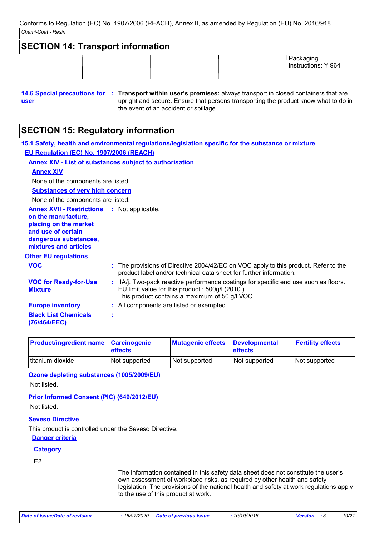| <b>SECTION 14: Transport information</b> |  |                                  |  |
|------------------------------------------|--|----------------------------------|--|
|                                          |  | Packaging<br>instructions: Y 964 |  |

**<sup>14.6</sup> Special precautions for : Transport within user's premises:** always transport in closed containers that are **user** upright and secure. Ensure that persons transporting the product know what to do in the event of an accident or spillage.

## **SECTION 15: Regulatory information**

|                                                                                                                                                          | 15.1 Safety, health and environmental regulations/legislation specific for the substance or mixture                                                                                       |
|----------------------------------------------------------------------------------------------------------------------------------------------------------|-------------------------------------------------------------------------------------------------------------------------------------------------------------------------------------------|
| EU Regulation (EC) No. 1907/2006 (REACH)                                                                                                                 |                                                                                                                                                                                           |
|                                                                                                                                                          | <b>Annex XIV - List of substances subject to authorisation</b>                                                                                                                            |
| <b>Annex XIV</b>                                                                                                                                         |                                                                                                                                                                                           |
| None of the components are listed.                                                                                                                       |                                                                                                                                                                                           |
| <b>Substances of very high concern</b>                                                                                                                   |                                                                                                                                                                                           |
| None of the components are listed.                                                                                                                       |                                                                                                                                                                                           |
| <b>Annex XVII - Restrictions</b><br>on the manufacture,<br>placing on the market<br>and use of certain<br>dangerous substances,<br>mixtures and articles | : Not applicable.                                                                                                                                                                         |
| <b>Other EU regulations</b>                                                                                                                              |                                                                                                                                                                                           |
| <b>VOC</b>                                                                                                                                               | : The provisions of Directive 2004/42/EC on VOC apply to this product. Refer to the<br>product label and/or technical data sheet for further information.                                 |
| <b>VOC for Ready-for-Use</b><br><b>Mixture</b>                                                                                                           | : IIA/j. Two-pack reactive performance coatings for specific end use such as floors.<br>EU limit value for this product: 500g/l (2010.)<br>This product contains a maximum of 50 g/l VOC. |
| <b>Europe inventory</b>                                                                                                                                  | : All components are listed or exempted.                                                                                                                                                  |
| <b>Black List Chemicals</b><br>(76/464/EEC)                                                                                                              |                                                                                                                                                                                           |
|                                                                                                                                                          |                                                                                                                                                                                           |

| <b>Product/ingredient name Carcinogenic</b> | <b>effects</b> | <b>Mutagenic effects</b> | <b>Developmental</b><br><b>effects</b> | <b>Fertility effects</b> |
|---------------------------------------------|----------------|--------------------------|----------------------------------------|--------------------------|
| titanium dioxide                            | Not supported  | Not supported            | Not supported                          | Not supported            |

**Ozone depleting substances (1005/2009/EU)** Not listed.

### **Prior Informed Consent (PIC) (649/2012/EU)** Not listed.

### **Seveso Directive**

This product is controlled under the Seveso Directive.

### **Danger criteria**

**Category**

E2

The information contained in this safety data sheet does not constitute the user's own assessment of workplace risks, as required by other health and safety legislation. The provisions of the national health and safety at work regulations apply to the use of this product at work.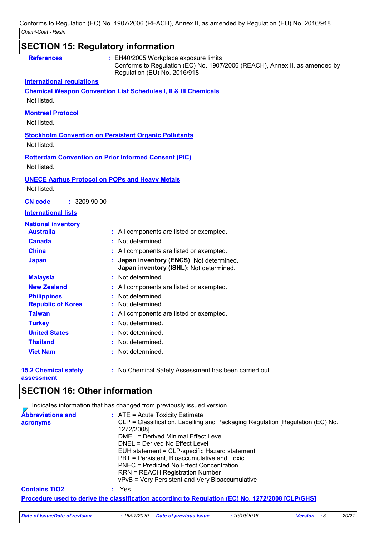|                                           | <b>SECTION 15: Regulatory information</b>                                                                                                         |
|-------------------------------------------|---------------------------------------------------------------------------------------------------------------------------------------------------|
| <b>References</b>                         | EH40/2005 Workplace exposure limits<br>Conforms to Regulation (EC) No. 1907/2006 (REACH), Annex II, as amended by<br>Regulation (EU) No. 2016/918 |
| <b>International regulations</b>          |                                                                                                                                                   |
|                                           | <b>Chemical Weapon Convention List Schedules I, II &amp; III Chemicals</b>                                                                        |
| Not listed.                               |                                                                                                                                                   |
| <b>Montreal Protocol</b><br>Not listed.   |                                                                                                                                                   |
|                                           |                                                                                                                                                   |
|                                           | <b>Stockholm Convention on Persistent Organic Pollutants</b>                                                                                      |
| Not listed.                               |                                                                                                                                                   |
|                                           | <b>Rotterdam Convention on Prior Informed Consent (PIC)</b>                                                                                       |
| Not listed.                               |                                                                                                                                                   |
|                                           | <b>UNECE Aarhus Protocol on POPs and Heavy Metals</b>                                                                                             |
| Not listed.                               |                                                                                                                                                   |
| : 3209900<br><b>CN</b> code               |                                                                                                                                                   |
| <b>International lists</b>                |                                                                                                                                                   |
| <b>National inventory</b>                 |                                                                                                                                                   |
| <b>Australia</b>                          | : All components are listed or exempted.                                                                                                          |
| <b>Canada</b>                             | : Not determined.                                                                                                                                 |
| <b>China</b>                              | : All components are listed or exempted.                                                                                                          |
| <b>Japan</b>                              | : Japan inventory (ENCS): Not determined.<br>Japan inventory (ISHL): Not determined.                                                              |
| <b>Malaysia</b>                           | : Not determined                                                                                                                                  |
| <b>New Zealand</b>                        | : All components are listed or exempted.                                                                                                          |
| <b>Philippines</b>                        | : Not determined.                                                                                                                                 |
| <b>Republic of Korea</b>                  | : Not determined.                                                                                                                                 |
| <b>Taiwan</b>                             | : All components are listed or exempted.                                                                                                          |
| <b>Turkey</b>                             | : Not determined.                                                                                                                                 |
| <b>United States</b>                      | : Not determined.                                                                                                                                 |
| <b>Thailand</b>                           | : Not determined.                                                                                                                                 |
| <b>Viet Nam</b>                           | : Not determined.                                                                                                                                 |
| <b>15.2 Chemical safety</b><br>assessment | : No Chemical Safety Assessment has been carried out.                                                                                             |

### **SECTION 16: Other information**

Indicates information that has changed from previously issued version.

| <b>Abbreviations and</b><br>acronyms | $\therefore$ ATE = Acute Toxicity Estimate<br>CLP = Classification, Labelling and Packaging Regulation [Regulation (EC) No.<br>1272/2008]<br>DMEL = Derived Minimal Effect Level<br>DNEL = Derived No Effect Level<br>EUH statement = CLP-specific Hazard statement<br>PBT = Persistent, Bioaccumulative and Toxic<br><b>PNEC = Predicted No Effect Concentration</b><br><b>RRN = REACH Registration Number</b><br>vPvB = Very Persistent and Very Bioaccumulative |
|--------------------------------------|--------------------------------------------------------------------------------------------------------------------------------------------------------------------------------------------------------------------------------------------------------------------------------------------------------------------------------------------------------------------------------------------------------------------------------------------------------------------|
| <b>Contains TiO2</b>                 | : Yes                                                                                                                                                                                                                                                                                                                                                                                                                                                              |
|                                      | <u>Procedure used to derive the classification according to Regulation (EC) No. 1272/2008 [CLP/GHS]</u>                                                                                                                                                                                                                                                                                                                                                            |